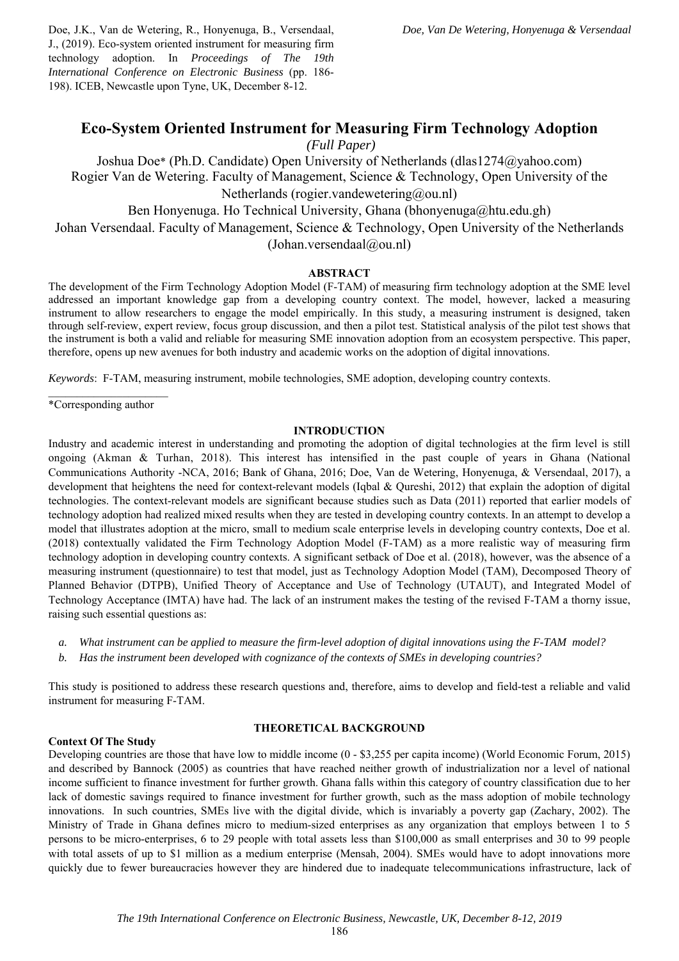Doe, J.K., Van de Wetering, R., Honyenuga, B., Versendaal, J., (2019). Eco-system oriented instrument for measuring firm technology adoption. In *Proceedings of The 19th International Conference on Electronic Business* (pp. 186- 198). ICEB, Newcastle upon Tyne, UK, December 8-12.

# **Eco-System Oriented Instrument for Measuring Firm Technology Adoption**

 *(Full Paper)* 

Joshua Doe\* (Ph.D. Candidate) Open University of Netherlands (dlas1274@yahoo.com) Rogier Van de Wetering. Faculty of Management, Science & Technology, Open University of the Netherlands (rogier.vandewetering@ou.nl) Ben Honyenuga. Ho Technical University, Ghana (bhonyenuga@htu.edu.gh)

Johan Versendaal. Faculty of Management, Science & Technology, Open University of the Netherlands (Johan.versendaal@ou.nl)

# **ABSTRACT**

The development of the Firm Technology Adoption Model (F-TAM) of measuring firm technology adoption at the SME level addressed an important knowledge gap from a developing country context. The model, however, lacked a measuring instrument to allow researchers to engage the model empirically. In this study, a measuring instrument is designed, taken through self-review, expert review, focus group discussion, and then a pilot test. Statistical analysis of the pilot test shows that the instrument is both a valid and reliable for measuring SME innovation adoption from an ecosystem perspective. This paper, therefore, opens up new avenues for both industry and academic works on the adoption of digital innovations.

*Keywords*: F-TAM, measuring instrument, mobile technologies, SME adoption, developing country contexts.

 $\mathcal{L}=\mathcal{L}^{\mathcal{L}}$  , where  $\mathcal{L}^{\mathcal{L}}$  , we have the set of  $\mathcal{L}^{\mathcal{L}}$ \*Corresponding author

### **INTRODUCTION**

Industry and academic interest in understanding and promoting the adoption of digital technologies at the firm level is still ongoing (Akman & Turhan, 2018). This interest has intensified in the past couple of years in Ghana (National Communications Authority -NCA, 2016; Bank of Ghana, 2016; Doe, Van de Wetering, Honyenuga, & Versendaal, 2017), a development that heightens the need for context-relevant models (Iqbal & Qureshi, 2012) that explain the adoption of digital technologies. The context-relevant models are significant because studies such as Data (2011) reported that earlier models of technology adoption had realized mixed results when they are tested in developing country contexts. In an attempt to develop a model that illustrates adoption at the micro, small to medium scale enterprise levels in developing country contexts, Doe et al. (2018) contextually validated the Firm Technology Adoption Model (F-TAM) as a more realistic way of measuring firm technology adoption in developing country contexts. A significant setback of Doe et al. (2018), however, was the absence of a measuring instrument (questionnaire) to test that model, just as Technology Adoption Model (TAM), Decomposed Theory of Planned Behavior (DTPB), Unified Theory of Acceptance and Use of Technology (UTAUT), and Integrated Model of Technology Acceptance (IMTA) have had. The lack of an instrument makes the testing of the revised F-TAM a thorny issue, raising such essential questions as:

- *a. What instrument can be applied to measure the firm-level adoption of digital innovations using the F-TAM model?*
- *b. Has the instrument been developed with cognizance of the contexts of SMEs in developing countries?*

This study is positioned to address these research questions and, therefore, aims to develop and field-test a reliable and valid instrument for measuring F-TAM.

### **Context Of The Study**

### **THEORETICAL BACKGROUND**

Developing countries are those that have low to middle income (0 - \$3,255 per capita income) (World Economic Forum, 2015) and described by Bannock (2005) as countries that have reached neither growth of industrialization nor a level of national income sufficient to finance investment for further growth. Ghana falls within this category of country classification due to her lack of domestic savings required to finance investment for further growth, such as the mass adoption of mobile technology innovations. In such countries, SMEs live with the digital divide, which is invariably a poverty gap (Zachary, 2002). The Ministry of Trade in Ghana defines micro to medium-sized enterprises as any organization that employs between 1 to 5 persons to be micro-enterprises, 6 to 29 people with total assets less than \$100,000 as small enterprises and 30 to 99 people with total assets of up to \$1 million as a medium enterprise (Mensah, 2004). SMEs would have to adopt innovations more quickly due to fewer bureaucracies however they are hindered due to inadequate telecommunications infrastructure, lack of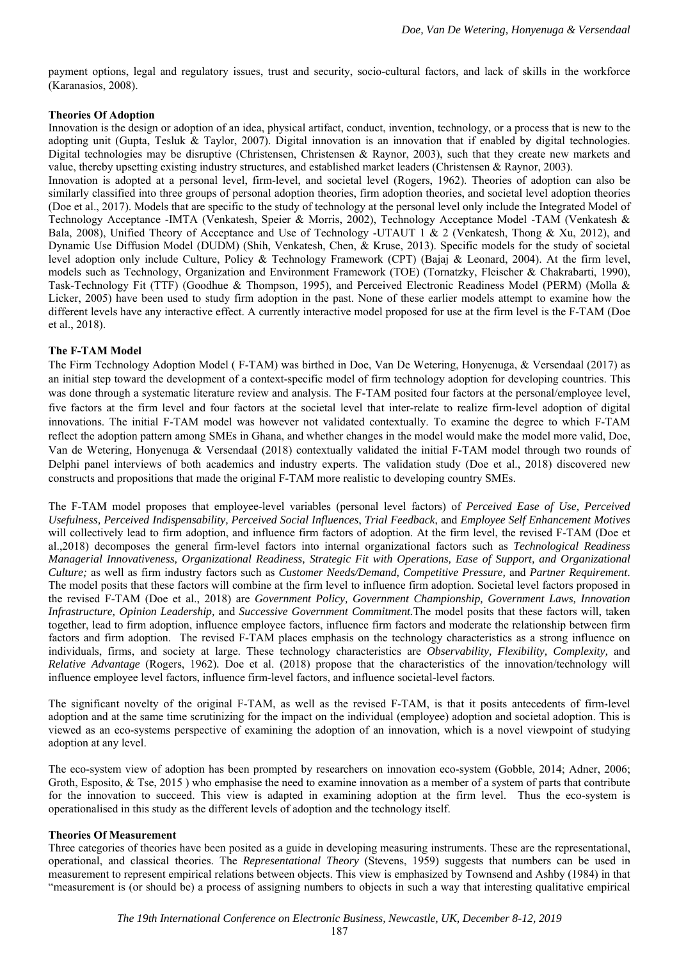payment options, legal and regulatory issues, trust and security, socio-cultural factors, and lack of skills in the workforce (Karanasios, 2008).

### **Theories Of Adoption**

Innovation is the design or adoption of an idea, physical artifact, conduct, invention, technology, or a process that is new to the adopting unit (Gupta, Tesluk & Taylor, 2007). Digital innovation is an innovation that if enabled by digital technologies. Digital technologies may be disruptive (Christensen, Christensen & Raynor, 2003), such that they create new markets and value, thereby upsetting existing industry structures, and established market leaders (Christensen & Raynor, 2003).

Innovation is adopted at a personal level, firm-level, and societal level (Rogers, 1962). Theories of adoption can also be similarly classified into three groups of personal adoption theories, firm adoption theories, and societal level adoption theories (Doe et al., 2017). Models that are specific to the study of technology at the personal level only include the Integrated Model of Technology Acceptance -IMTA (Venkatesh, Speier & Morris, 2002), Technology Acceptance Model -TAM (Venkatesh & Bala, 2008), Unified Theory of Acceptance and Use of Technology -UTAUT 1 & 2 (Venkatesh, Thong & Xu, 2012), and Dynamic Use Diffusion Model (DUDM) (Shih, Venkatesh, Chen, & Kruse, 2013). Specific models for the study of societal level adoption only include Culture, Policy & Technology Framework (CPT) (Bajaj & Leonard, 2004). At the firm level, models such as Technology, Organization and Environment Framework (TOE) (Tornatzky, Fleischer & Chakrabarti, 1990), Task-Technology Fit (TTF) (Goodhue & Thompson, 1995), and Perceived Electronic Readiness Model (PERM) (Molla & Licker, 2005) have been used to study firm adoption in the past. None of these earlier models attempt to examine how the different levels have any interactive effect. A currently interactive model proposed for use at the firm level is the F-TAM (Doe et al., 2018).

### **The F-TAM Model**

The Firm Technology Adoption Model ( F-TAM) was birthed in Doe, Van De Wetering, Honyenuga, & Versendaal (2017) as an initial step toward the development of a context-specific model of firm technology adoption for developing countries. This was done through a systematic literature review and analysis. The F-TAM posited four factors at the personal/employee level, five factors at the firm level and four factors at the societal level that inter-relate to realize firm-level adoption of digital innovations. The initial F-TAM model was however not validated contextually. To examine the degree to which F-TAM reflect the adoption pattern among SMEs in Ghana, and whether changes in the model would make the model more valid, Doe, Van de Wetering, Honyenuga & Versendaal (2018) contextually validated the initial F-TAM model through two rounds of Delphi panel interviews of both academics and industry experts. The validation study (Doe et al., 2018) discovered new constructs and propositions that made the original F-TAM more realistic to developing country SMEs.

The F-TAM model proposes that employee-level variables (personal level factors) of *Perceived Ease of Use, Perceived Usefulness, Perceived Indispensability, Perceived Social Influences*, *Trial Feedback*, and *Employee Self Enhancement Motives*  will collectively lead to firm adoption, and influence firm factors of adoption. At the firm level, the revised F-TAM (Doe et al.,2018) decomposes the general firm-level factors into internal organizational factors such as *Technological Readiness Managerial Innovativeness, Organizational Readiness, Strategic Fit with Operations, Ease of Support, and Organizational Culture;* as well as firm industry factors such as *Customer Needs/Demand, Competitive Pressure,* and *Partner Requirement*. The model posits that these factors will combine at the firm level to influence firm adoption. Societal level factors proposed in the revised F-TAM (Doe et al., 2018) are *Government Policy, Government Championship, Government Laws, Innovation Infrastructure, Opinion Leadership,* and *Successive Government Commitment.*The model posits that these factors will, taken together, lead to firm adoption, influence employee factors, influence firm factors and moderate the relationship between firm factors and firm adoption. The revised F-TAM places emphasis on the technology characteristics as a strong influence on individuals, firms, and society at large. These technology characteristics are *Observability, Flexibility, Complexity,* and *Relative Advantage* (Rogers, 1962)*.* Doe et al. (2018) propose that the characteristics of the innovation/technology will influence employee level factors, influence firm-level factors, and influence societal-level factors.

The significant novelty of the original F-TAM, as well as the revised F-TAM, is that it posits antecedents of firm-level adoption and at the same time scrutinizing for the impact on the individual (employee) adoption and societal adoption. This is viewed as an eco-systems perspective of examining the adoption of an innovation, which is a novel viewpoint of studying adoption at any level.

The eco-system view of adoption has been prompted by researchers on innovation eco-system (Gobble, 2014; Adner, 2006; Groth, Esposito, & Tse, 2015) who emphasise the need to examine innovation as a member of a system of parts that contribute for the innovation to succeed. This view is adapted in examining adoption at the firm level. Thus the eco-system is operationalised in this study as the different levels of adoption and the technology itself.

#### **Theories Of Measurement**

Three categories of theories have been posited as a guide in developing measuring instruments. These are the representational, operational, and classical theories. The *Representational Theory* (Stevens, 1959) suggests that numbers can be used in measurement to represent empirical relations between objects. This view is emphasized by Townsend and Ashby (1984) in that "measurement is (or should be) a process of assigning numbers to objects in such a way that interesting qualitative empirical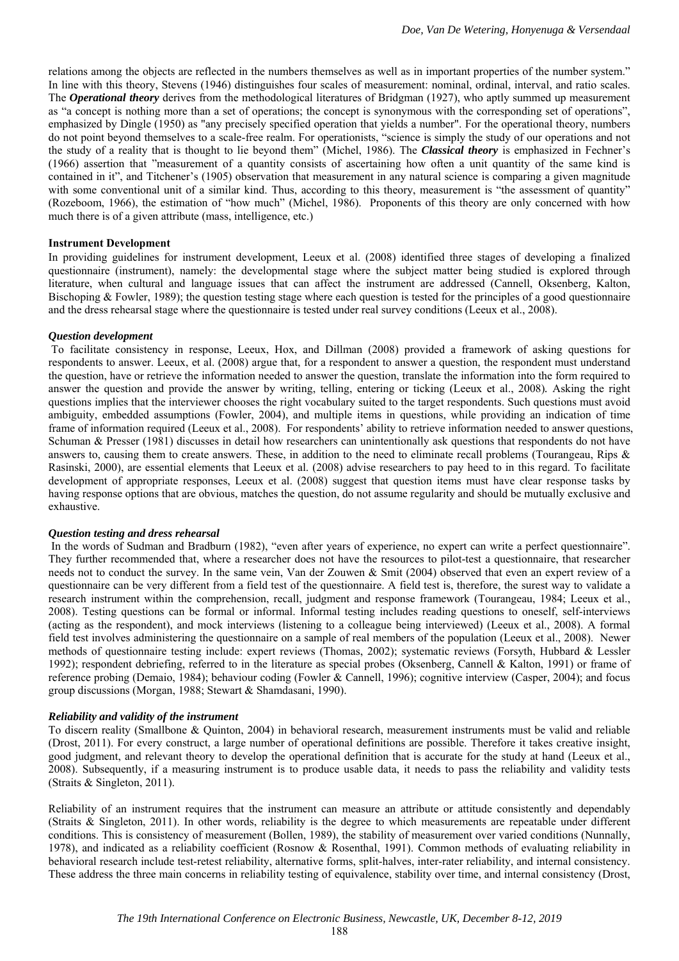relations among the objects are reflected in the numbers themselves as well as in important properties of the number system." In line with this theory, Stevens (1946) distinguishes four scales of measurement: nominal, ordinal, interval, and ratio scales. The *Operational theory* derives from the methodological literatures of Bridgman (1927), who aptly summed up measurement as "a concept is nothing more than a set of operations; the concept is synonymous with the corresponding set of operations", emphasized by Dingle (1950) as "any precisely specified operation that yields a number". For the operational theory, numbers do not point beyond themselves to a scale-free realm. For operationists, "science is simply the study of our operations and not the study of a reality that is thought to lie beyond them" (Michel, 1986). The *Classical theory* is emphasized in Fechner's (1966) assertion that "measurement of a quantity consists of ascertaining how often a unit quantity of the same kind is contained in it", and Titchener's (1905) observation that measurement in any natural science is comparing a given magnitude with some conventional unit of a similar kind. Thus, according to this theory, measurement is "the assessment of quantity" (Rozeboom, 1966), the estimation of "how much" (Michel, 1986). Proponents of this theory are only concerned with how much there is of a given attribute (mass, intelligence, etc.)

### **Instrument Development**

In providing guidelines for instrument development, Leeux et al. (2008) identified three stages of developing a finalized questionnaire (instrument), namely: the developmental stage where the subject matter being studied is explored through literature, when cultural and language issues that can affect the instrument are addressed (Cannell, Oksenberg, Kalton, Bischoping & Fowler, 1989); the question testing stage where each question is tested for the principles of a good questionnaire and the dress rehearsal stage where the questionnaire is tested under real survey conditions (Leeux et al., 2008).

#### *Question development*

To facilitate consistency in response, Leeux, Hox, and Dillman (2008) provided a framework of asking questions for respondents to answer. Leeux, et al. (2008) argue that, for a respondent to answer a question, the respondent must understand the question, have or retrieve the information needed to answer the question, translate the information into the form required to answer the question and provide the answer by writing, telling, entering or ticking (Leeux et al., 2008)*.* Asking the right questions implies that the interviewer chooses the right vocabulary suited to the target respondents. Such questions must avoid ambiguity, embedded assumptions (Fowler, 2004), and multiple items in questions, while providing an indication of time frame of information required (Leeux et al., 2008). For respondents' ability to retrieve information needed to answer questions, Schuman & Presser (1981) discusses in detail how researchers can unintentionally ask questions that respondents do not have answers to, causing them to create answers. These, in addition to the need to eliminate recall problems (Tourangeau, Rips & Rasinski, 2000), are essential elements that Leeux et al. (2008) advise researchers to pay heed to in this regard. To facilitate development of appropriate responses, Leeux et al. (2008) suggest that question items must have clear response tasks by having response options that are obvious, matches the question, do not assume regularity and should be mutually exclusive and exhaustive.

#### *Question testing and dress rehearsal*

In the words of Sudman and Bradburn (1982), "even after years of experience, no expert can write a perfect questionnaire". They further recommended that, where a researcher does not have the resources to pilot-test a questionnaire, that researcher needs not to conduct the survey. In the same vein, Van der Zouwen & Smit (2004) observed that even an expert review of a questionnaire can be very different from a field test of the questionnaire. A field test is, therefore, the surest way to validate a research instrument within the comprehension, recall, judgment and response framework (Tourangeau, 1984; Leeux et al., 2008). Testing questions can be formal or informal. Informal testing includes reading questions to oneself, self-interviews (acting as the respondent), and mock interviews (listening to a colleague being interviewed) (Leeux et al., 2008). A formal field test involves administering the questionnaire on a sample of real members of the population (Leeux et al., 2008). Newer methods of questionnaire testing include: expert reviews (Thomas, 2002); systematic reviews (Forsyth, Hubbard & Lessler 1992); respondent debriefing, referred to in the literature as special probes (Oksenberg, Cannell & Kalton, 1991) or frame of reference probing (Demaio, 1984); behaviour coding (Fowler & Cannell, 1996); cognitive interview (Casper, 2004); and focus group discussions (Morgan, 1988; Stewart & Shamdasani, 1990).

### *Reliability and validity of the instrument*

To discern reality (Smallbone & Quinton, 2004) in behavioral research, measurement instruments must be valid and reliable (Drost, 2011). For every construct, a large number of operational definitions are possible. Therefore it takes creative insight, good judgment, and relevant theory to develop the operational definition that is accurate for the study at hand (Leeux et al., 2008). Subsequently, if a measuring instrument is to produce usable data, it needs to pass the reliability and validity tests (Straits & Singleton, 2011).

Reliability of an instrument requires that the instrument can measure an attribute or attitude consistently and dependably (Straits & Singleton, 2011). In other words, reliability is the degree to which measurements are repeatable under different conditions. This is consistency of measurement (Bollen, 1989), the stability of measurement over varied conditions (Nunnally, 1978), and indicated as a reliability coefficient (Rosnow & Rosenthal, 1991). Common methods of evaluating reliability in behavioral research include test-retest reliability, alternative forms, split-halves, inter-rater reliability, and internal consistency. These address the three main concerns in reliability testing of equivalence, stability over time, and internal consistency (Drost,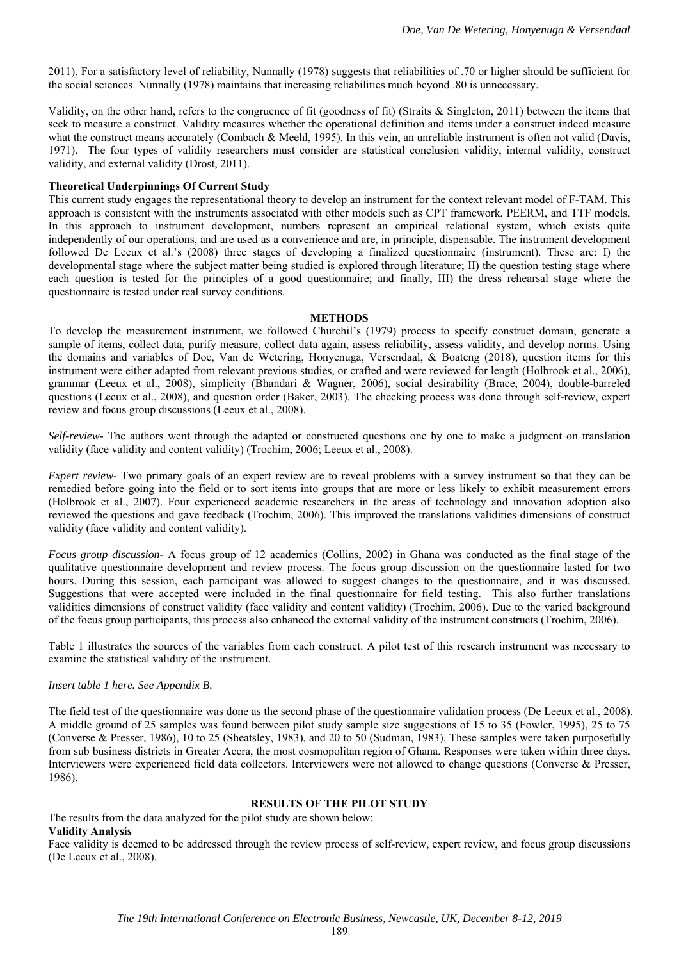2011). For a satisfactory level of reliability, Nunnally (1978) suggests that reliabilities of .70 or higher should be sufficient for the social sciences. Nunnally (1978) maintains that increasing reliabilities much beyond .80 is unnecessary.

Validity, on the other hand, refers to the congruence of fit (goodness of fit) (Straits & Singleton, 2011) between the items that seek to measure a construct. Validity measures whether the operational definition and items under a construct indeed measure what the construct means accurately (Combach & Meehl, 1995). In this vein, an unreliable instrument is often not valid (Davis, 1971). The four types of validity researchers must consider are statistical conclusion validity, internal validity, construct validity, and external validity (Drost, 2011).

#### **Theoretical Underpinnings Of Current Study**

This current study engages the representational theory to develop an instrument for the context relevant model of F-TAM. This approach is consistent with the instruments associated with other models such as CPT framework, PEERM, and TTF models. In this approach to instrument development, numbers represent an empirical relational system, which exists quite independently of our operations, and are used as a convenience and are, in principle, dispensable. The instrument development followed De Leeux et al.'s (2008) three stages of developing a finalized questionnaire (instrument). These are: I) the developmental stage where the subject matter being studied is explored through literature; II) the question testing stage where each question is tested for the principles of a good questionnaire; and finally, III) the dress rehearsal stage where the questionnaire is tested under real survey conditions.

#### **METHODS**

To develop the measurement instrument, we followed Churchil's (1979) process to specify construct domain, generate a sample of items, collect data, purify measure, collect data again, assess reliability, assess validity, and develop norms. Using the domains and variables of Doe, Van de Wetering, Honyenuga, Versendaal, & Boateng (2018), question items for this instrument were either adapted from relevant previous studies, or crafted and were reviewed for length (Holbrook et al., 2006), grammar (Leeux et al., 2008), simplicity (Bhandari & Wagner, 2006), social desirability (Brace, 2004), double-barreled questions (Leeux et al., 2008), and question order (Baker, 2003). The checking process was done through self-review, expert review and focus group discussions (Leeux et al., 2008).

*Self-review-* The authors went through the adapted or constructed questions one by one to make a judgment on translation validity (face validity and content validity) (Trochim, 2006; Leeux et al., 2008).

*Expert review*- Two primary goals of an expert review are to reveal problems with a survey instrument so that they can be remedied before going into the field or to sort items into groups that are more or less likely to exhibit measurement errors (Holbrook et al., 2007). Four experienced academic researchers in the areas of technology and innovation adoption also reviewed the questions and gave feedback (Trochim, 2006). This improved the translations validities dimensions of construct validity (face validity and content validity).

*Focus group discussion*- A focus group of 12 academics (Collins, 2002) in Ghana was conducted as the final stage of the qualitative questionnaire development and review process. The focus group discussion on the questionnaire lasted for two hours. During this session, each participant was allowed to suggest changes to the questionnaire, and it was discussed. Suggestions that were accepted were included in the final questionnaire for field testing. This also further translations validities dimensions of construct validity (face validity and content validity) (Trochim, 2006). Due to the varied background of the focus group participants, this process also enhanced the external validity of the instrument constructs (Trochim, 2006).

Table 1 illustrates the sources of the variables from each construct. A pilot test of this research instrument was necessary to examine the statistical validity of the instrument.

### *Insert table 1 here. See Appendix B.*

The field test of the questionnaire was done as the second phase of the questionnaire validation process (De Leeux et al., 2008). A middle ground of 25 samples was found between pilot study sample size suggestions of 15 to 35 (Fowler, 1995), 25 to 75 (Converse & Presser, 1986), 10 to 25 (Sheatsley, 1983), and 20 to 50 (Sudman, 1983). These samples were taken purposefully from sub business districts in Greater Accra, the most cosmopolitan region of Ghana. Responses were taken within three days. Interviewers were experienced field data collectors. Interviewers were not allowed to change questions (Converse & Presser, 1986).

# **RESULTS OF THE PILOT STUDY**

The results from the data analyzed for the pilot study are shown below: **Validity Analysis** 

Face validity is deemed to be addressed through the review process of self-review, expert review, and focus group discussions (De Leeux et al., 2008).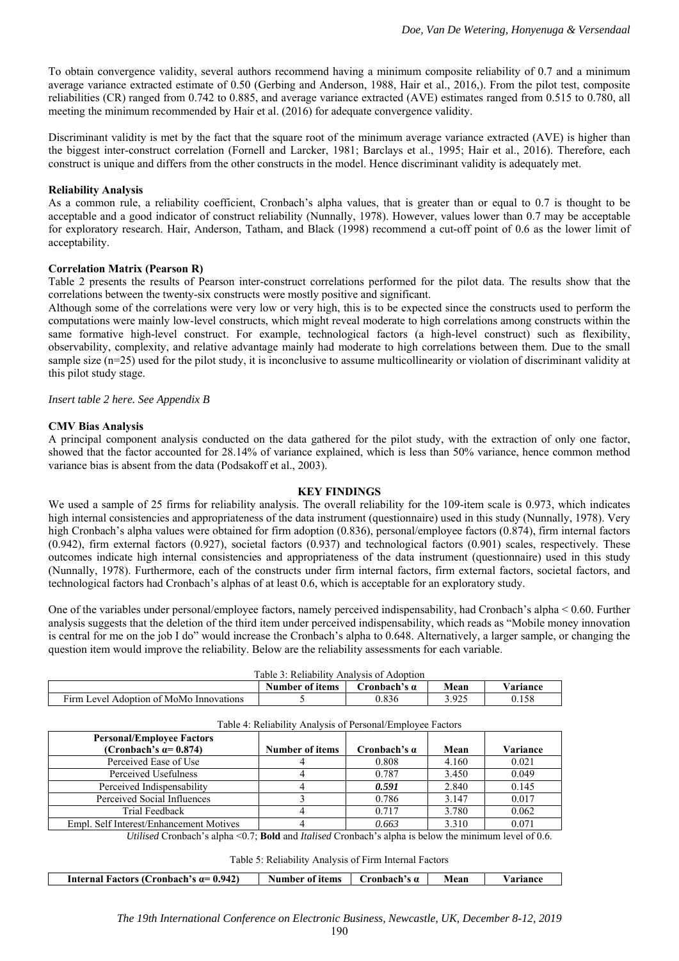To obtain convergence validity, several authors recommend having a minimum composite reliability of 0.7 and a minimum average variance extracted estimate of 0.50 (Gerbing and Anderson, 1988, Hair et al., 2016,). From the pilot test, composite reliabilities (CR) ranged from 0.742 to 0.885, and average variance extracted (AVE) estimates ranged from 0.515 to 0.780, all meeting the minimum recommended by Hair et al. (2016) for adequate convergence validity.

Discriminant validity is met by the fact that the square root of the minimum average variance extracted (AVE) is higher than the biggest inter-construct correlation (Fornell and Larcker, 1981; Barclays et al., 1995; Hair et al., 2016). Therefore, each construct is unique and differs from the other constructs in the model. Hence discriminant validity is adequately met.

## **Reliability Analysis**

As a common rule, a reliability coefficient, Cronbach's alpha values, that is greater than or equal to 0.7 is thought to be acceptable and a good indicator of construct reliability (Nunnally, 1978). However, values lower than 0.7 may be acceptable for exploratory research. Hair, Anderson, Tatham, and Black (1998) recommend a cut-off point of 0.6 as the lower limit of acceptability.

# **Correlation Matrix (Pearson R)**

Table 2 presents the results of Pearson inter-construct correlations performed for the pilot data. The results show that the correlations between the twenty-six constructs were mostly positive and significant.

Although some of the correlations were very low or very high, this is to be expected since the constructs used to perform the computations were mainly low-level constructs, which might reveal moderate to high correlations among constructs within the same formative high-level construct. For example, technological factors (a high-level construct) such as flexibility, observability, complexity, and relative advantage mainly had moderate to high correlations between them. Due to the small sample size  $(n=25)$  used for the pilot study, it is inconclusive to assume multicollinearity or violation of discriminant validity at this pilot study stage.

### *Insert table 2 here. See Appendix B*

### **CMV Bias Analysis**

A principal component analysis conducted on the data gathered for the pilot study, with the extraction of only one factor, showed that the factor accounted for 28.14% of variance explained, which is less than 50% variance, hence common method variance bias is absent from the data (Podsakoff et al., 2003).

### **KEY FINDINGS**

We used a sample of 25 firms for reliability analysis. The overall reliability for the 109-item scale is 0.973, which indicates high internal consistencies and appropriateness of the data instrument (questionnaire) used in this study (Nunnally, 1978). Very high Cronbach's alpha values were obtained for firm adoption (0.836), personal/employee factors (0.874), firm internal factors (0.942), firm external factors (0.927), societal factors (0.937) and technological factors (0.901) scales, respectively. These outcomes indicate high internal consistencies and appropriateness of the data instrument (questionnaire) used in this study (Nunnally, 1978). Furthermore, each of the constructs under firm internal factors, firm external factors, societal factors, and technological factors had Cronbach's alphas of at least 0.6, which is acceptable for an exploratory study.

One of the variables under personal/employee factors, namely perceived indispensability, had Cronbach's alpha < 0.60. Further analysis suggests that the deletion of the third item under perceived indispensability, which reads as "Mobile money innovation is central for me on the job I do" would increase the Cronbach's alpha to 0.648. Alternatively, a larger sample, or changing the question item would improve the reliability. Below are the reliability assessments for each variable.

| Table 3: Reliability Analysis of Adoption |                                                     |       |       |       |  |  |
|-------------------------------------------|-----------------------------------------------------|-------|-------|-------|--|--|
|                                           | Mean<br>Number of items<br>Cronbach's α<br>Variance |       |       |       |  |  |
| Firm Level Adoption of MoMo Innovations   |                                                     | 0.836 | 3.925 | ).158 |  |  |

| Table 4. Kenability Analysis of Felsonal Employee Factors         |                        |                     |       |          |  |
|-------------------------------------------------------------------|------------------------|---------------------|-------|----------|--|
| <b>Personal/Employee Factors</b><br>(Cronbach's $\alpha$ = 0.874) | <b>Number of items</b> | Cronbach's $\alpha$ | Mean  | Variance |  |
| Perceived Ease of Use                                             |                        | 0.808               | 4.160 | 0.021    |  |
| Perceived Usefulness                                              |                        | 0.787               | 3.450 | 0.049    |  |
| Perceived Indispensability                                        |                        | 0.591               | 2.840 | 0.145    |  |
| Perceived Social Influences                                       |                        | 0.786               | 3.147 | 0.017    |  |
| Trial Feedback                                                    |                        | 0.717               | 3.780 | 0.062    |  |
| Empl. Self Interest/Enhancement Motives                           |                        | 0.663               | 3.310 | 0.071    |  |

|  |  | Table 4: Reliability Analysis of Personal/Employee Factors |
|--|--|------------------------------------------------------------|
|--|--|------------------------------------------------------------|

*Utilised* Cronbach's alpha <0.7; **Bold** and *Italised* Cronbach's alpha is below the minimum level of 0.6.

Table 5: Reliability Analysis of Firm Internal Factors

**Internal Factors (Cronbach's α= 0.942)** Number of items | Cronbach's α | Mean | Variance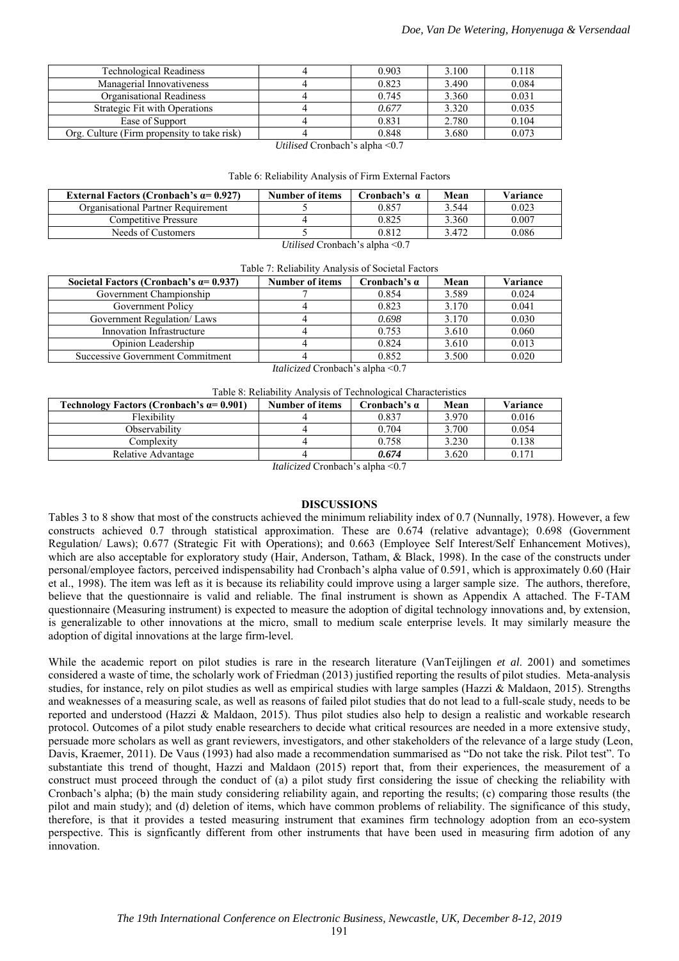| <b>Technological Readiness</b>              | 0.903 | 3.100 | 0.118 |
|---------------------------------------------|-------|-------|-------|
| Managerial Innovativeness                   | 0.823 | 3.490 | 0.084 |
| Organisational Readiness                    | 0.745 | 3.360 | 0.031 |
| Strategic Fit with Operations               | 0.677 | 3.320 | 0.035 |
| Ease of Support                             | 0.831 | 2.780 | 0.104 |
| Org. Culture (Firm propensity to take risk) | 0.848 | 3.680 | 0.073 |

*Utilised* Cronbach's alpha <0.7

| Table 6: Reliability Analysis of Firm External Factors |  |  |  |  |
|--------------------------------------------------------|--|--|--|--|
|--------------------------------------------------------|--|--|--|--|

| External Factors (Cronbach's $\alpha$ = 0.927) | Number of items | Cronbach's α         | Mean  | Variance |
|------------------------------------------------|-----------------|----------------------|-------|----------|
| Organisational Partner Requirement             |                 | 0.857                | 3.544 | 0.023    |
| Competitive Pressure                           |                 | 0.825                | 3.360 | 0.007    |
| Needs of Customers                             |                 | 0.812                | 3.472 | 0.086    |
|                                                | $T$ $T$         | $\sim$ $\sim$ $\sim$ |       |          |

*Utilised* Cronbach's alpha <0.7

| Societal Factors (Cronbach's $\alpha$ = 0.937) | Number of items | Cronbach's $\alpha$ | Mean  | Variance |
|------------------------------------------------|-----------------|---------------------|-------|----------|
| Government Championship                        |                 | 0.854               | 3.589 | 0.024    |
| Government Policy                              |                 | 0.823               | 3.170 | 0.041    |
| Government Regulation/ Laws                    |                 | 0.698               | 3.170 | 0.030    |
| Innovation Infrastructure                      |                 | 0.753               | 3.610 | 0.060    |
| Opinion Leadership                             |                 | 0.824               | 3.610 | 0.013    |
| Successive Government Commitment               |                 | 0.852               | 3.500 | 0.020    |

*Italicized* Cronbach's alpha <0.7

|  | Table 8: Reliability Analysis of Technological Characteristics |  |  |  |
|--|----------------------------------------------------------------|--|--|--|
|--|----------------------------------------------------------------|--|--|--|

| Technology Factors (Cronbach's $\alpha$ = 0.901) | Number of items        | Cronbach's α  | Mean  | Variance |  |
|--------------------------------------------------|------------------------|---------------|-------|----------|--|
| Flexibility                                      |                        | 0.837         | 3.970 | 0.016    |  |
| Observability                                    |                        | 0.704         | 3.700 | 0.054    |  |
| Complexity                                       |                        | 0.758         | 3.230 | 0.138    |  |
| Relative Advantage                               |                        | 0.674         | 3.620 | 0.171    |  |
|                                                  | $\sim$<br>$\mathbf{r}$ | $\sim$ $\sim$ |       |          |  |

*Italicized* Cronbach's alpha <0.7

#### **DISCUSSIONS**

Tables 3 to 8 show that most of the constructs achieved the minimum reliability index of 0.7 (Nunnally, 1978). However, a few constructs achieved 0.7 through statistical approximation. These are 0.674 (relative advantage); 0.698 (Government Regulation/ Laws); 0.677 (Strategic Fit with Operations); and 0.663 (Employee Self Interest/Self Enhancement Motives), which are also acceptable for exploratory study (Hair, Anderson, Tatham, & Black, 1998). In the case of the constructs under personal/employee factors, perceived indispensability had Cronbach's alpha value of 0.591, which is approximately 0.60 (Hair et al., 1998). The item was left as it is because its reliability could improve using a larger sample size. The authors, therefore, believe that the questionnaire is valid and reliable. The final instrument is shown as Appendix A attached. The F-TAM questionnaire (Measuring instrument) is expected to measure the adoption of digital technology innovations and, by extension, is generalizable to other innovations at the micro, small to medium scale enterprise levels. It may similarly measure the adoption of digital innovations at the large firm-level.

While the academic report on pilot studies is rare in the research literature (VanTeijlingen *et al*. 2001) and sometimes considered a waste of time, the scholarly work of Friedman (2013) justified reporting the results of pilot studies. Meta-analysis studies, for instance, rely on pilot studies as well as empirical studies with large samples (Hazzi & Maldaon, 2015). Strengths and weaknesses of a measuring scale, as well as reasons of failed pilot studies that do not lead to a full-scale study, needs to be reported and understood (Hazzi & Maldaon, 2015). Thus pilot studies also help to design a realistic and workable research protocol. Outcomes of a pilot study enable researchers to decide what critical resources are needed in a more extensive study, persuade more scholars as well as grant reviewers, investigators, and other stakeholders of the relevance of a large study (Leon, Davis, Kraemer, 2011). De Vaus (1993) had also made a recommendation summarised as "Do not take the risk. Pilot test". To substantiate this trend of thought, Hazzi and Maldaon (2015) report that, from their experiences, the measurement of a construct must proceed through the conduct of (a) a pilot study first considering the issue of checking the reliability with Cronbach's alpha; (b) the main study considering reliability again, and reporting the results; (c) comparing those results (the pilot and main study); and (d) deletion of items, which have common problems of reliability. The significance of this study, therefore, is that it provides a tested measuring instrument that examines firm technology adoption from an eco-system perspective. This is signficantly different from other instruments that have been used in measuring firm adotion of any innovation.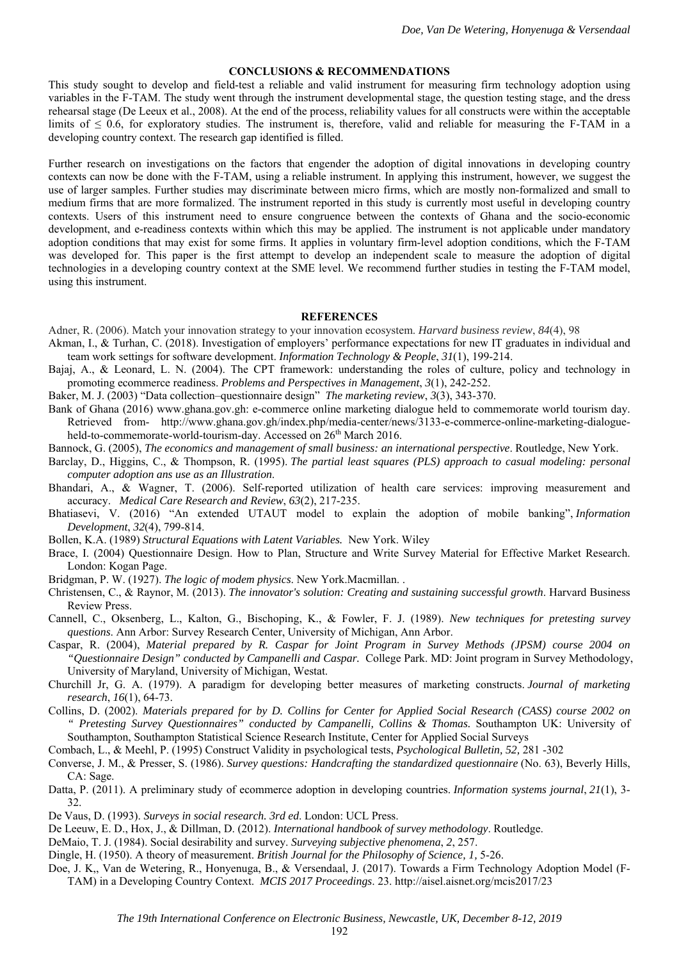#### **CONCLUSIONS & RECOMMENDATIONS**

This study sought to develop and field-test a reliable and valid instrument for measuring firm technology adoption using variables in the F-TAM. The study went through the instrument developmental stage, the question testing stage, and the dress rehearsal stage (De Leeux et al., 2008). At the end of the process, reliability values for all constructs were within the acceptable limits of  $\leq 0.6$ , for exploratory studies. The instrument is, therefore, valid and reliable for measuring the F-TAM in a developing country context. The research gap identified is filled.

Further research on investigations on the factors that engender the adoption of digital innovations in developing country contexts can now be done with the F-TAM, using a reliable instrument. In applying this instrument, however, we suggest the use of larger samples. Further studies may discriminate between micro firms, which are mostly non-formalized and small to medium firms that are more formalized. The instrument reported in this study is currently most useful in developing country contexts. Users of this instrument need to ensure congruence between the contexts of Ghana and the socio-economic development, and e-readiness contexts within which this may be applied. The instrument is not applicable under mandatory adoption conditions that may exist for some firms. It applies in voluntary firm-level adoption conditions, which the F-TAM was developed for. This paper is the first attempt to develop an independent scale to measure the adoption of digital technologies in a developing country context at the SME level. We recommend further studies in testing the F-TAM model, using this instrument.

#### **REFERENCES**

Adner, R. (2006). Match your innovation strategy to your innovation ecosystem. *Harvard business review*, *84*(4), 98

- Akman, I., & Turhan, C. (2018). Investigation of employers' performance expectations for new IT graduates in individual and team work settings for software development. *Information Technology & People*, *31*(1), 199-214.
- Bajaj, A., & Leonard, L. N. (2004). The CPT framework: understanding the roles of culture, policy and technology in promoting ecommerce readiness. *Problems and Perspectives in Management*, *3*(1), 242-252.
- Baker, M. J. (2003) "Data collection–questionnaire design" *The marketing review*, *3*(3), 343-370.
- Bank of Ghana (2016) www.ghana.gov.gh: e-commerce online marketing dialogue held to commemorate world tourism day. Retrieved from- http://www.ghana.gov.gh/index.php/media-center/news/3133-e-commerce-online-marketing-dialogueheld-to-commemorate-world-tourism-day. Accessed on 26<sup>th</sup> March 2016.
- Bannock, G. (2005), *The economics and management of small business: an international perspective*. Routledge, New York.
- Barclay, D., Higgins, C., & Thompson, R. (1995). *The partial least squares (PLS) approach to casual modeling: personal computer adoption ans use as an Illustration*.
- Bhandari, A., & Wagner, T. (2006). Self-reported utilization of health care services: improving measurement and accuracy. *Medical Care Research and Review*, *63*(2), 217-235.
- Bhatiasevi, V. (2016) "An extended UTAUT model to explain the adoption of mobile banking", *Information Development*, *32*(4), 799-814.
- Bollen, K.A. (1989) *Structural Equations with Latent Variables.* New York. Wiley
- Brace, I. (2004) Questionnaire Design. How to Plan, Structure and Write Survey Material for Effective Market Research. London: Kogan Page.
- Bridgman, P. W. (1927). *The logic of modem physics*. New York.Macmillan. .
- Christensen, C., & Raynor, M. (2013). *The innovator's solution: Creating and sustaining successful growth*. Harvard Business Review Press.
- Cannell, C., Oksenberg, L., Kalton, G., Bischoping, K., & Fowler, F. J. (1989). *New techniques for pretesting survey questions*. Ann Arbor: Survey Research Center, University of Michigan, Ann Arbor.
- Caspar, R. (2004), *Material prepared by R. Caspar for Joint Program in Survey Methods (JPSM) course 2004 on "Questionnaire Design" conducted by Campanelli and Caspar.* College Park. MD: Joint program in Survey Methodology, University of Maryland, University of Michigan, Westat.
- Churchill Jr, G. A. (1979). A paradigm for developing better measures of marketing constructs. *Journal of marketing research*, *16*(1), 64-73.
- Collins, D. (2002). *Materials prepared for by D. Collins for Center for Applied Social Research (CASS) course 2002 on " Pretesting Survey Questionnaires" conducted by Campanelli, Collins & Thomas.* Southampton UK: University of Southampton, Southampton Statistical Science Research Institute, Center for Applied Social Surveys
- Combach, L., & Meehl, P. (1995) Construct Validity in psychological tests, *Psychological Bulletin, 52,* 281 -302
- Converse, J. M., & Presser, S. (1986). *Survey questions: Handcrafting the standardized questionnaire* (No. 63), Beverly Hills, CA: Sage.
- Datta, P. (2011). A preliminary study of ecommerce adoption in developing countries. *Information systems journal*, *21*(1), 3- 32.
- De Vaus, D. (1993). *Surveys in social research. 3rd ed*. London: UCL Press.
- De Leeuw, E. D., Hox, J., & Dillman, D. (2012). *International handbook of survey methodology*. Routledge.
- DeMaio, T. J. (1984). Social desirability and survey. *Surveying subjective phenomena*, *2*, 257.
- Dingle, H. (1950). A theory of measurement. *British Journal for the Philosophy of Science, 1,* 5-26.
- Doe, J. K,, Van de Wetering, R., Honyenuga, B., & Versendaal, J. (2017). Towards a Firm Technology Adoption Model (F-TAM) in a Developing Country Context. *MCIS 2017 Proceedings*. 23. http://aisel.aisnet.org/mcis2017/23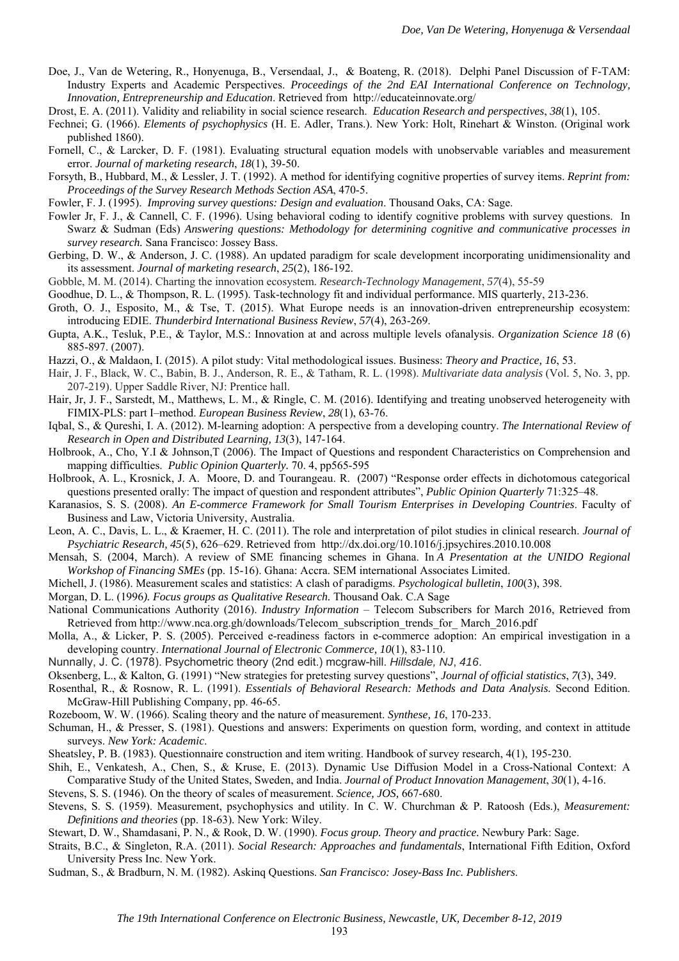- Doe, J., Van de Wetering, R., Honyenuga, B., Versendaal, J., & Boateng, R. (2018). Delphi Panel Discussion of F-TAM: Industry Experts and Academic Perspectives. *Proceedings of the 2nd EAI International Conference on Technology, Innovation, Entrepreneurship and Education*. Retrieved from http://educateinnovate.org/
- Drost, E. A. (2011). Validity and reliability in social science research. *Education Research and perspectives*, *38*(1), 105.
- Fechnei; G. (1966). *Elements of psychophysics* (H. E. Adler, Trans.). New York: Holt, Rinehart & Winston. (Original work published 1860).
- Fornell, C., & Larcker, D. F. (1981). Evaluating structural equation models with unobservable variables and measurement error. *Journal of marketing research*, *18*(1), 39-50.
- Forsyth, B., Hubbard, M., & Lessler, J. T. (1992). A method for identifying cognitive properties of survey items. *Reprint from: Proceedings of the Survey Research Methods Section ASA*, 470-5.
- Fowler, F. J. (1995). *Improving survey questions: Design and evaluation*. Thousand Oaks, CA: Sage.
- Fowler Jr, F. J., & Cannell, C. F. (1996). Using behavioral coding to identify cognitive problems with survey questions. In Swarz & Sudman (Eds) *Answering questions: Methodology for determining cognitive and communicative processes in survey research.* Sana Francisco: Jossey Bass.
- Gerbing, D. W., & Anderson, J. C. (1988). An updated paradigm for scale development incorporating unidimensionality and its assessment. *Journal of marketing research*, *25*(2), 186-192.
- Gobble, M. M. (2014). Charting the innovation ecosystem. *Research-Technology Management*, *57*(4), 55-59
- Goodhue, D. L., & Thompson, R. L. (1995). Task-technology fit and individual performance. MIS quarterly, 213-236.
- Groth, O. J., Esposito, M., & Tse, T. (2015). What Europe needs is an innovation-driven entrepreneurship ecosystem: introducing EDIE. *Thunderbird International Business Review*, *57*(4), 263-269.
- Gupta, A.K., Tesluk, P.E., & Taylor, M.S.: Innovation at and across multiple levels ofanalysis. *Organization Science 18* (6) 885-897. (2007).
- Hazzi, O., & Maldaon, I. (2015). A pilot study: Vital methodological issues. Business: *Theory and Practice, 16*, 53.
- Hair, J. F., Black, W. C., Babin, B. J., Anderson, R. E., & Tatham, R. L. (1998). *Multivariate data analysis* (Vol. 5, No. 3, pp. 207-219). Upper Saddle River, NJ: Prentice hall.
- Hair, Jr, J. F., Sarstedt, M., Matthews, L. M., & Ringle, C. M. (2016). Identifying and treating unobserved heterogeneity with FIMIX-PLS: part I–method. *European Business Review*, *28*(1), 63-76.
- Iqbal, S., & Qureshi, I. A. (2012). M-learning adoption: A perspective from a developing country. *The International Review of Research in Open and Distributed Learning, 13*(3), 147-164.
- Holbrook, A., Cho, Y.I & Johnson,T (2006). The Impact of Questions and respondent Characteristics on Comprehension and mapping difficulties. *Public Opinion Quarterly.* 70. 4, pp565-595
- Holbrook, A. L., Krosnick, J. A. Moore, D. and Tourangeau. R. (2007) "Response order effects in dichotomous categorical questions presented orally: The impact of question and respondent attributes", *Public Opinion Quarterly* 71:325–48.
- Karanasios, S. S. (2008). *An E-commerce Framework for Small Tourism Enterprises in Developing Countries*. Faculty of Business and Law, Victoria University, Australia.
- Leon, A. C., Davis, L. L., & Kraemer, H. C. (2011). The role and interpretation of pilot studies in clinical research. *Journal of Psychiatric Research, 45*(5), 626–629. Retrieved from http://dx.doi.org/10.1016/j.jpsychires.2010.10.008
- Mensah, S. (2004, March). A review of SME financing schemes in Ghana. In *A Presentation at the UNIDO Regional Workshop of Financing SMEs* (pp. 15-16). Ghana: Accra. SEM international Associates Limited.
- Michell, J. (1986). Measurement scales and statistics: A clash of paradigms. *Psychological bulletin*, *100*(3), 398.
- Morgan, D. L. (1996*). Focus groups as Qualitative Research.* Thousand Oak. C.A Sage
- National Communications Authority (2016). *Industry Information* Telecom Subscribers for March 2016, Retrieved from Retrieved from http://www.nca.org.gh/downloads/Telecom\_subscription\_trends\_for\_ March\_2016.pdf
- Molla, A., & Licker, P. S. (2005). Perceived e-readiness factors in e-commerce adoption: An empirical investigation in a developing country. *International Journal of Electronic Commerce, 10*(1), 83-110.
- Nunnally, J. C. (1978). Psychometric theory (2nd edit.) mcgraw-hill. *Hillsdale, NJ*, *416*.

Oksenberg, L., & Kalton, G. (1991) "New strategies for pretesting survey questions", *Journal of official statistics*, *7*(3), 349.

- Rosenthal, R., & Rosnow, R. L. (1991). *Essentials of Behavioral Research: Methods and Data Analysis.* Second Edition. McGraw-Hill Publishing Company, pp. 46-65.
- Rozeboom, W. W. (1966). Scaling theory and the nature of measurement. *Synthese, 16*, 170-233.
- Schuman, H., & Presser, S. (1981). Questions and answers: Experiments on question form, wording, and context in attitude surveys. *New York: Academic*.
- Sheatsley, P. B. (1983). Questionnaire construction and item writing. Handbook of survey research, 4(1), 195-230.
- Shih, E., Venkatesh, A., Chen, S., & Kruse, E. (2013). Dynamic Use Diffusion Model in a Cross‐National Context: A Comparative Study of the United States, Sweden, and India. *Journal of Product Innovation Management*, *30*(1), 4-16.
- Stevens, S. S. (1946). On the theory of scales of measurement. *Science, JOS,* 667-680.
- Stevens, S. S. (1959). Measurement, psychophysics and utility. In C. W. Churchman & P. Ratoosh (Eds.), *Measurement: Definitions and theories* (pp. 18-63). New York: Wiley.

Stewart, D. W., Shamdasani, P. N., & Rook, D. W. (1990). *Focus group. Theory and practice.* Newbury Park: Sage.

- Straits, B.C., & Singleton, R.A. (2011). *Social Research: Approaches and fundamentals*, International Fifth Edition, Oxford University Press Inc. New York.
- Sudman, S., & Bradburn, N. M. (1982). Askinq Questions. *San Francisco: Josey-Bass Inc. Publishers*.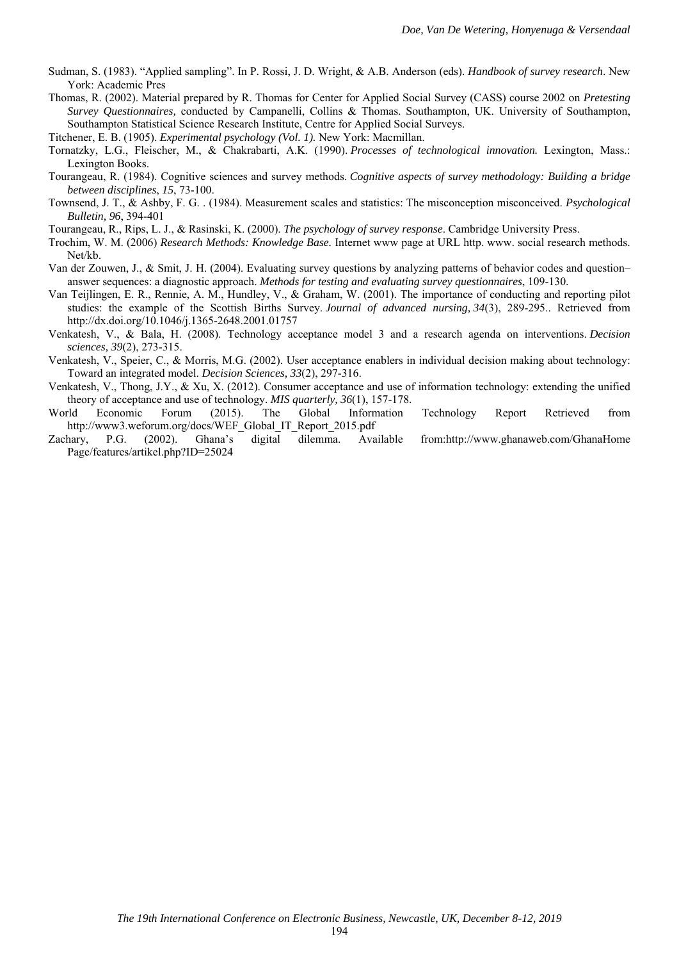- Sudman, S. (1983). "Applied sampling". In P. Rossi, J. D. Wright, & A.B. Anderson (eds). *Handbook of survey research*. New York: Academic Pres
- Thomas, R. (2002). Material prepared by R. Thomas for Center for Applied Social Survey (CASS) course 2002 on *Pretesting Survey Questionnaires,* conducted by Campanelli, Collins & Thomas. Southampton, UK. University of Southampton, Southampton Statistical Science Research Institute, Centre for Applied Social Surveys.

Titchener, E. B. (1905). *Experimental psychology (Vol. 1).* New York: Macmillan.

- Tornatzky, L.G., Fleischer, M., & Chakrabarti, A.K. (1990). *Processes of technological innovation.* Lexington, Mass.: Lexington Books.
- Tourangeau, R. (1984). Cognitive sciences and survey methods. *Cognitive aspects of survey methodology: Building a bridge between disciplines*, *15*, 73-100.
- Townsend, J. T., & Ashby, F. G. . (1984). Measurement scales and statistics: The misconception misconceived. *Psychological Bulletin, 96*, 394-401
- Tourangeau, R., Rips, L. J., & Rasinski, K. (2000). *The psychology of survey response*. Cambridge University Press.
- Trochim, W. M. (2006) *Research Methods: Knowledge Base.* Internet www page at URL http. www. social research methods. Net/kb.
- Van der Zouwen, J., & Smit, J. H. (2004). Evaluating survey questions by analyzing patterns of behavior codes and question– answer sequences: a diagnostic approach. *Methods for testing and evaluating survey questionnaires*, 109-130.
- Van Teijlingen, E. R., Rennie, A. M., Hundley, V., & Graham, W. (2001). The importance of conducting and reporting pilot studies: the example of the Scottish Births Survey. *Journal of advanced nursing, 34*(3), 289-295.. Retrieved from http://dx.doi.org/10.1046/j.1365-2648.2001.01757
- Venkatesh, V., & Bala, H. (2008). Technology acceptance model 3 and a research agenda on interventions. *Decision sciences, 39*(2), 273-315.
- Venkatesh, V., Speier, C., & Morris, M.G. (2002). User acceptance enablers in individual decision making about technology: Toward an integrated model. *Decision Sciences, 33*(2), 297-316.
- Venkatesh, V., Thong, J.Y., & Xu, X. (2012). Consumer acceptance and use of information technology: extending the unified theory of acceptance and use of technology. *MIS quarterly, 36*(1), 157-178.
- World Economic Forum (2015). The Global Information Technology Report Retrieved from http://www3.weforum.org/docs/WEF\_Global\_IT\_Report\_2015.pdf
- Zachary, P.G. (2002). Ghana's digital dilemma. Available from:http://www.ghanaweb.com/GhanaHome Page/features/artikel.php?ID=25024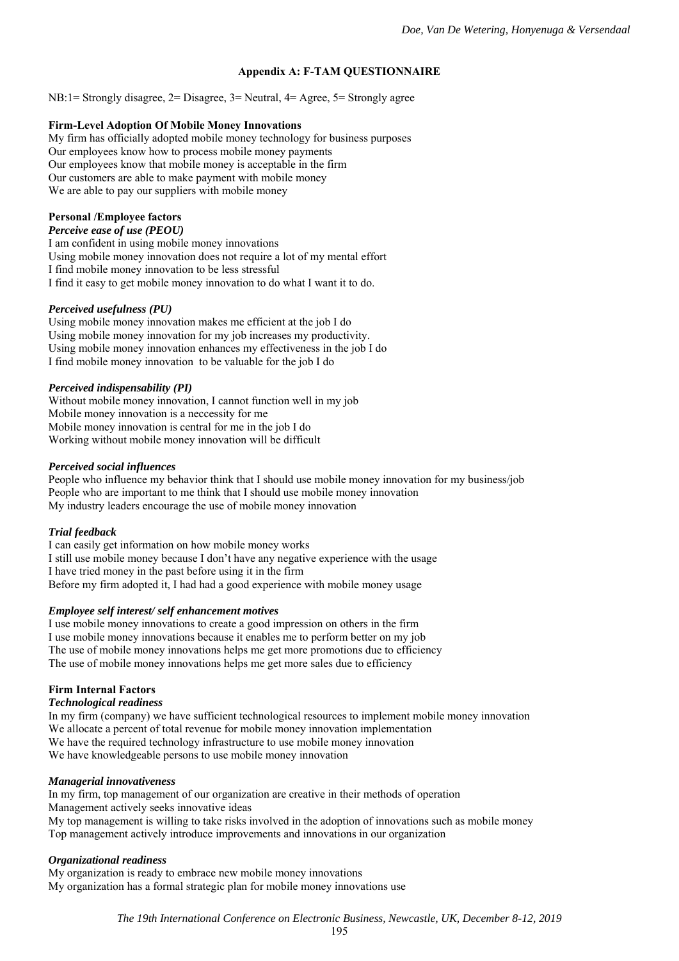# **Appendix A: F-TAM QUESTIONNAIRE**

NB:1= Strongly disagree, 2= Disagree, 3= Neutral, 4= Agree, 5= Strongly agree

#### **Firm-Level Adoption Of Mobile Money Innovations**

My firm has officially adopted mobile money technology for business purposes Our employees know how to process mobile money payments Our employees know that mobile money is acceptable in the firm Our customers are able to make payment with mobile money We are able to pay our suppliers with mobile money

### **Personal /Employee factors**

*Perceive ease of use (PEOU)* 

I am confident in using mobile money innovations Using mobile money innovation does not require a lot of my mental effort I find mobile money innovation to be less stressful I find it easy to get mobile money innovation to do what I want it to do.

#### *Perceived usefulness (PU)*

Using mobile money innovation makes me efficient at the job I do Using mobile money innovation for my job increases my productivity. Using mobile money innovation enhances my effectiveness in the job I do I find mobile money innovation to be valuable for the job I do

#### *Perceived indispensability (PI)*

Without mobile money innovation, I cannot function well in my job Mobile money innovation is a neccessity for me Mobile money innovation is central for me in the job I do Working without mobile money innovation will be difficult

#### *Perceived social influences*

People who influence my behavior think that I should use mobile money innovation for my business/job People who are important to me think that I should use mobile money innovation My industry leaders encourage the use of mobile money innovation

### *Trial feedback*

I can easily get information on how mobile money works I still use mobile money because I don't have any negative experience with the usage I have tried money in the past before using it in the firm Before my firm adopted it, I had had a good experience with mobile money usage

#### *Employee self interest/ self enhancement motives*

I use mobile money innovations to create a good impression on others in the firm I use mobile money innovations because it enables me to perform better on my job The use of mobile money innovations helps me get more promotions due to efficiency The use of mobile money innovations helps me get more sales due to efficiency

### **Firm Internal Factors**

#### *Technological readiness*

In my firm (company) we have sufficient technological resources to implement mobile money innovation We allocate a percent of total revenue for mobile money innovation implementation We have the required technology infrastructure to use mobile money innovation We have knowledgeable persons to use mobile money innovation

### *Managerial innovativeness*

In my firm, top management of our organization are creative in their methods of operation Management actively seeks innovative ideas My top management is willing to take risks involved in the adoption of innovations such as mobile money Top management actively introduce improvements and innovations in our organization

### *Organizational readiness*

My organization is ready to embrace new mobile money innovations My organization has a formal strategic plan for mobile money innovations use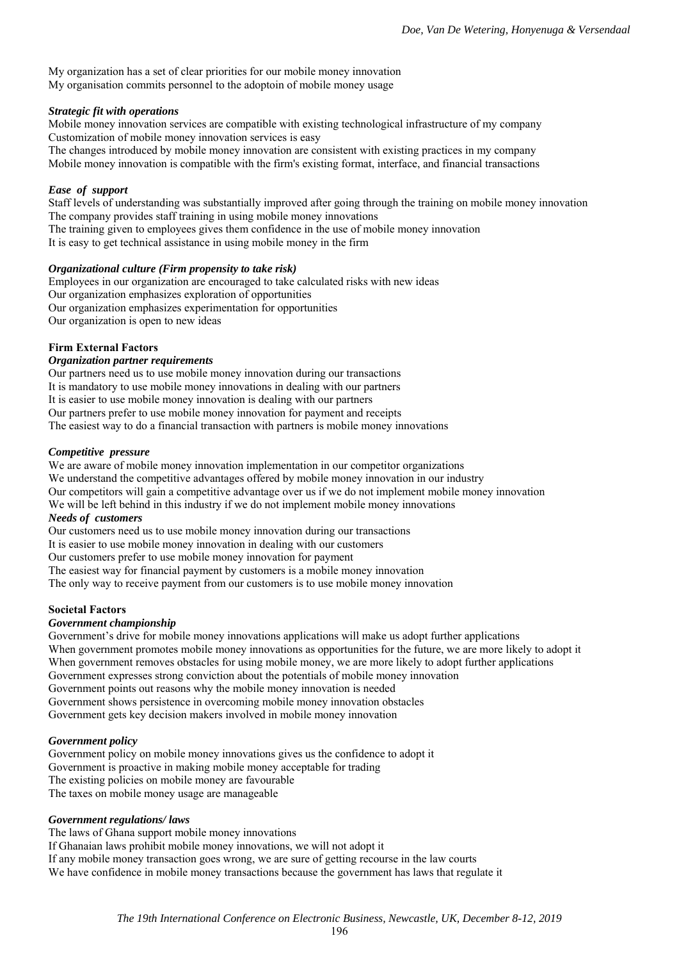My organization has a set of clear priorities for our mobile money innovation My organisation commits personnel to the adoptoin of mobile money usage

# *Strategic fit with operations*

Mobile money innovation services are compatible with existing technological infrastructure of my company Customization of mobile money innovation services is easy

The changes introduced by mobile money innovation are consistent with existing practices in my company Mobile money innovation is compatible with the firm's existing format, interface, and financial transactions

# *Ease of support*

Staff levels of understanding was substantially improved after going through the training on mobile money innovation The company provides staff training in using mobile money innovations

The training given to employees gives them confidence in the use of mobile money innovation

It is easy to get technical assistance in using mobile money in the firm

# *Organizational culture (Firm propensity to take risk)*

Employees in our organization are encouraged to take calculated risks with new ideas Our organization emphasizes exploration of opportunities Our organization emphasizes experimentation for opportunities Our organization is open to new ideas

# **Firm External Factors**

### *Organization partner requirements*

Our partners need us to use mobile money innovation during our transactions It is mandatory to use mobile money innovations in dealing with our partners It is easier to use mobile money innovation is dealing with our partners Our partners prefer to use mobile money innovation for payment and receipts The easiest way to do a financial transaction with partners is mobile money innovations

### *Competitive pressure*

We are aware of mobile money innovation implementation in our competitor organizations We understand the competitive advantages offered by mobile money innovation in our industry Our competitors will gain a competitive advantage over us if we do not implement mobile money innovation We will be left behind in this industry if we do not implement mobile money innovations

### *Needs of customers*

Our customers need us to use mobile money innovation during our transactions

It is easier to use mobile money innovation in dealing with our customers

Our customers prefer to use mobile money innovation for payment

The easiest way for financial payment by customers is a mobile money innovation

The only way to receive payment from our customers is to use mobile money innovation

### **Societal Factors**

### *Government championship*

Government's drive for mobile money innovations applications will make us adopt further applications When government promotes mobile money innovations as opportunities for the future, we are more likely to adopt it When government removes obstacles for using mobile money, we are more likely to adopt further applications Government expresses strong conviction about the potentials of mobile money innovation Government points out reasons why the mobile money innovation is needed Government shows persistence in overcoming mobile money innovation obstacles Government gets key decision makers involved in mobile money innovation

### *Government policy*

Government policy on mobile money innovations gives us the confidence to adopt it Government is proactive in making mobile money acceptable for trading The existing policies on mobile money are favourable The taxes on mobile money usage are manageable

### *Government regulations/ laws*

The laws of Ghana support mobile money innovations If Ghanaian laws prohibit mobile money innovations, we will not adopt it If any mobile money transaction goes wrong, we are sure of getting recourse in the law courts We have confidence in mobile money transactions because the government has laws that regulate it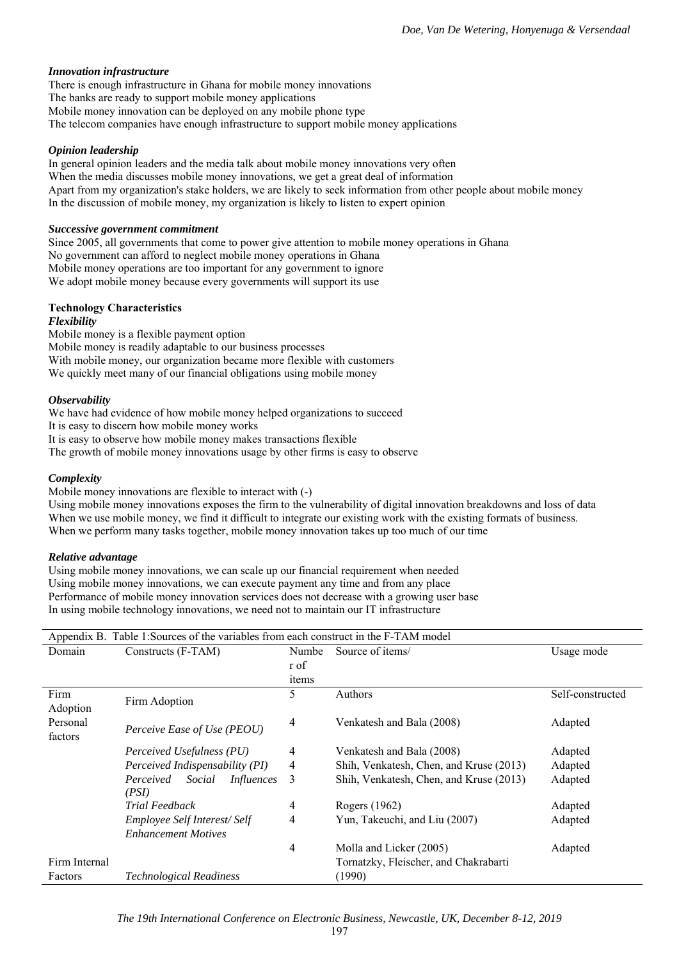### *Innovation infrastructure*

There is enough infrastructure in Ghana for mobile money innovations The banks are ready to support mobile money applications Mobile money innovation can be deployed on any mobile phone type The telecom companies have enough infrastructure to support mobile money applications

## *Opinion leadership*

In general opinion leaders and the media talk about mobile money innovations very often When the media discusses mobile money innovations, we get a great deal of information Apart from my organization's stake holders, we are likely to seek information from other people about mobile money In the discussion of mobile money, my organization is likely to listen to expert opinion

### *Successive government commitment*

Since 2005, all governments that come to power give attention to mobile money operations in Ghana No government can afford to neglect mobile money operations in Ghana Mobile money operations are too important for any government to ignore We adopt mobile money because every governments will support its use

# **Technology Characteristics**

# *Flexibility*

Mobile money is a flexible payment option Mobile money is readily adaptable to our business processes With mobile money, our organization became more flexible with customers We quickly meet many of our financial obligations using mobile money

### *Observability*

We have had evidence of how mobile money helped organizations to succeed It is easy to discern how mobile money works It is easy to observe how mobile money makes transactions flexible The growth of mobile money innovations usage by other firms is easy to observe

## *Complexity*

Mobile money innovations are flexible to interact with (-)

Using mobile money innovations exposes the firm to the vulnerability of digital innovation breakdowns and loss of data When we use mobile money, we find it difficult to integrate our existing work with the existing formats of business. When we perform many tasks together, mobile money innovation takes up too much of our time

### *Relative advantage*

Using mobile money innovations, we can scale up our financial requirement when needed Using mobile money innovations, we can execute payment any time and from any place Performance of mobile money innovation services does not decrease with a growing user base In using mobile technology innovations, we need not to maintain our IT infrastructure

|                     | Appendix B. Table 1:Sources of the variables from each construct in the F-TAM model |       |                                         |                  |  |  |  |
|---------------------|-------------------------------------------------------------------------------------|-------|-----------------------------------------|------------------|--|--|--|
| Domain              | Constructs (F-TAM)                                                                  | Numbe | Source of items/                        | Usage mode       |  |  |  |
|                     |                                                                                     | r of  |                                         |                  |  |  |  |
|                     |                                                                                     | items |                                         |                  |  |  |  |
| Firm<br>Adoption    | Firm Adoption                                                                       | 5     | Authors                                 | Self-constructed |  |  |  |
| Personal<br>factors | Perceive Ease of Use (PEOU)                                                         | 4     | Venkatesh and Bala (2008)               | Adapted          |  |  |  |
|                     | Perceived Usefulness (PU)                                                           | 4     | Venkatesh and Bala (2008)               | Adapted          |  |  |  |
|                     | Perceived Indispensability (PI)                                                     | 4     | Shih, Venkatesh, Chen, and Kruse (2013) | Adapted          |  |  |  |
|                     | Social<br>Perceived<br>Influences<br>(PSI)                                          | 3     | Shih, Venkatesh, Chen, and Kruse (2013) | Adapted          |  |  |  |
|                     | <b>Trial Feedback</b>                                                               | 4     | Rogers (1962)                           | Adapted          |  |  |  |
|                     | Employee Self Interest/Self<br><b>Enhancement Motives</b>                           | 4     | Yun, Takeuchi, and Liu (2007)           | Adapted          |  |  |  |
|                     |                                                                                     | 4     | Molla and Licker (2005)                 | Adapted          |  |  |  |
| Firm Internal       |                                                                                     |       | Tornatzky, Fleischer, and Chakrabarti   |                  |  |  |  |
| Factors             | <b>Technological Readiness</b>                                                      |       | (1990)                                  |                  |  |  |  |